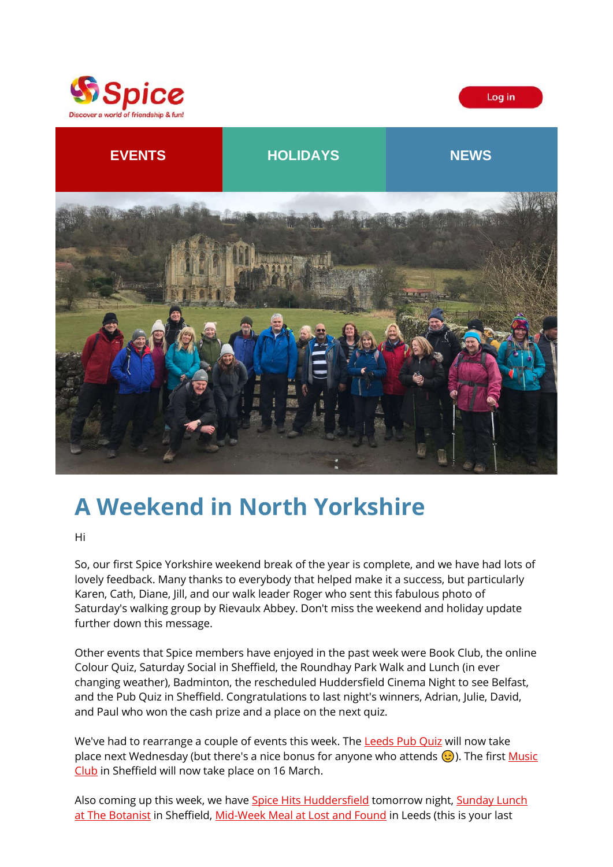



Log in

# **A Weekend in North Yorkshire**

Hi

So, our first Spice Yorkshire weekend break of the year is complete, and we have had lots of lovely feedback. Many thanks to everybody that helped make it a success, but particularly Karen, Cath, Diane, Jill, and our walk leader Roger who sent this fabulous photo of Saturday's walking group by Rievaulx Abbey. Don't miss the weekend and holiday update further down this message.

Other events that Spice members have enjoyed in the past week were Book Club, the online Colour Quiz, Saturday Social in Sheffield, the Roundhay Park Walk and Lunch (in ever changing weather), Badminton, the rescheduled Huddersfield Cinema Night to see Belfast, and the Pub Quiz in Sheffield. Congratulations to last night's winners, Adrian, Julie, David, and Paul who won the cash prize and a place on the next quiz.

We've had to rearrange a couple of events this week. The [Leeds Pub Quiz](https://spiceuk.lt.acemlna.com/Prod/link-tracker?redirectUrl=aHR0cHMlM0ElMkYlMkZ3d3cuc3BpY2V1ay5jb20lMkZldmVudHMtaG9saWRheXMlMkZwdWItcXVpei1pbi1sZWVkcy0xNi1mZWItMjI=&sig=AGtozXVT2u37wqLc9RxaHNwTKBEU2XS7h5AEjqXgVR5a&iat=1644515420&a=%7C%7C650344965%7C%7C&account=spiceuk%2Eactivehosted%2Ecom&email=1lNuJE%2BrfgC%2F8jRYTdcwIV8mo4ad0FCroTtAVDq%2FbzQ%3D&s=b900027c55ea3ffe9431fd4817f89468&i=279A291A4A7126) will now take place next Wednesday (but there's a nice bonus for anyone who attends  $\odot$ ). The first Music [Club](https://spiceuk.lt.acemlna.com/Prod/link-tracker?redirectUrl=aHR0cHMlM0ElMkYlMkZ3d3cuc3BpY2V1ay5jb20lMkZldmVudHMtaG9saWRheXMlMkZtdXNpYy1jbHViLXNoZWZmaWVsZC0xNi1tYXItMjI=&sig=6ZaAa3AyLnQ5MQrbtoan1DEPg3N5QnEKHdFQBbcgMfVr&iat=1644515420&a=%7C%7C650344965%7C%7C&account=spiceuk%2Eactivehosted%2Ecom&email=1lNuJE%2BrfgC%2F8jRYTdcwIV8mo4ad0FCroTtAVDq%2FbzQ%3D&s=b900027c55ea3ffe9431fd4817f89468&i=279A291A4A7127) in Sheffield will now take place on 16 March.

Also coming up this week, we have [Spice Hits Huddersfield](https://spiceuk.lt.acemlna.com/Prod/link-tracker?redirectUrl=aHR0cHMlM0ElMkYlMkZ3d3cuc3BpY2V1ay5jb20lMkZldmVudHMtaG9saWRheXMlMkZzcGljZS1oaXRzLWh1ZGRlcnNmaWVsZC0xMS1mZWItMjI=&sig=8hCiGsxKKF4TMViLao6kmaG2ec2msJcq9KxmD8eHfYT7&iat=1644515420&a=%7C%7C650344965%7C%7C&account=spiceuk%2Eactivehosted%2Ecom&email=1lNuJE%2BrfgC%2F8jRYTdcwIV8mo4ad0FCroTtAVDq%2FbzQ%3D&s=b900027c55ea3ffe9431fd4817f89468&i=279A291A4A7101) tomorrow night, Sunday Lunch [at The Botanist](https://spiceuk.lt.acemlna.com/Prod/link-tracker?redirectUrl=aHR0cHMlM0ElMkYlMkZ3d3cuc3BpY2V1ay5jb20lMkZldmVudHMtaG9saWRheXMlMkZzdW5kYXktbHVuY2gtYXQtdGhlLWJvdGFuaXN0LXNoZWZmaWVsZC0xMy1mZWItMjI=&sig=9ofEerwie6pPakqTAnHbw2v6RUyPeuZkghoJ2Bo1D182&iat=1644515420&a=%7C%7C650344965%7C%7C&account=spiceuk%2Eactivehosted%2Ecom&email=1lNuJE%2BrfgC%2F8jRYTdcwIV8mo4ad0FCroTtAVDq%2FbzQ%3D&s=b900027c55ea3ffe9431fd4817f89468&i=279A291A4A7112) in Sheffield, [Mid-Week Meal at Lost and Found](https://spiceuk.lt.acemlna.com/Prod/link-tracker?redirectUrl=aHR0cHMlM0ElMkYlMkZ3d3cuc3BpY2V1ay5jb20lMkZldmVudHMtaG9saWRheXMlMkZkaW5uZXItc2h1ZmZsZS1hdC1sb3N0LWFuZC1mb3VuZC1sZWVkcw==&sig=G6dXL2GS2Xunxjb8CcBriT33GDCkaMxPWmGQvTiwkdcR&iat=1644515420&a=%7C%7C650344965%7C%7C&account=spiceuk%2Eactivehosted%2Ecom&email=1lNuJE%2BrfgC%2F8jRYTdcwIV8mo4ad0FCroTtAVDq%2FbzQ%3D&s=b900027c55ea3ffe9431fd4817f89468&i=279A291A4A7128) in Leeds (this is your last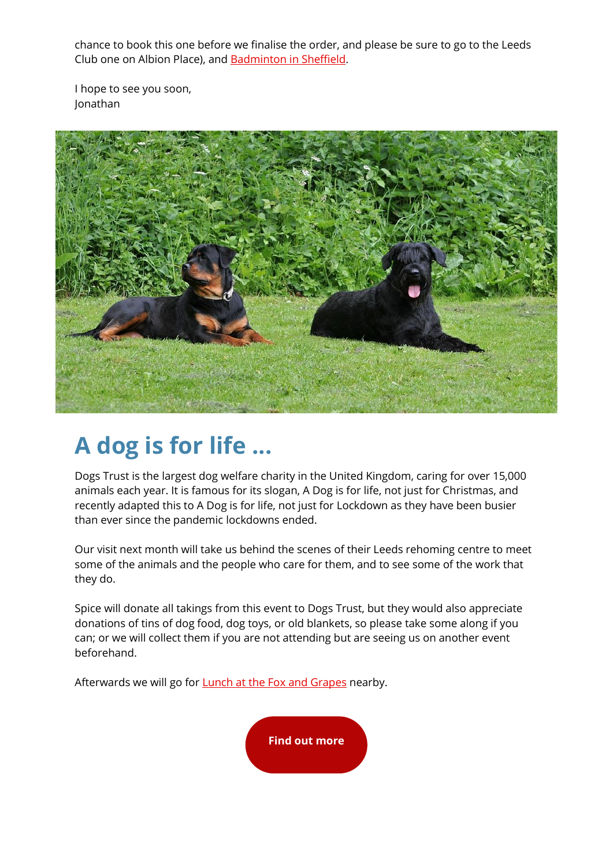chance to book this one before we finalise the order, and please be sure to go to the Leeds Club one on Albion Place), and [Badminton in Sheffield.](https://spiceuk.lt.acemlna.com/Prod/link-tracker?redirectUrl=aHR0cHMlM0ElMkYlMkZ3d3cuc3BpY2V1ay5jb20lMkZldmVudHMtaG9saWRheXMlMkZiYWRtaW50b24taW4tc2hlZmZpZWxkLTE1LWZlYi0yMg==&sig=DUQhmr31ShbKKZym4QYpdpx21UVJW1aeLiq814kLSqfD&iat=1644515420&a=%7C%7C650344965%7C%7C&account=spiceuk%2Eactivehosted%2Ecom&email=1lNuJE%2BrfgC%2F8jRYTdcwIV8mo4ad0FCroTtAVDq%2FbzQ%3D&s=b900027c55ea3ffe9431fd4817f89468&i=279A291A4A7129)

I hope to see you soon, Jonathan



# **A dog is for life ...**

Dogs Trust is the largest dog welfare charity in the United Kingdom, caring for over 15,000 animals each year. It is famous for its slogan, A Dog is for life, not just for Christmas, and recently adapted this to A Dog is for life, not just for Lockdown as they have been busier than ever since the pandemic lockdowns ended.

Our visit next month will take us behind the scenes of their Leeds rehoming centre to meet some of the animals and the people who care for them, and to see some of the work that they do.

Spice will donate all takings from this event to Dogs Trust, but they would also appreciate donations of tins of dog food, dog toys, or old blankets, so please take some along if you can; or we will collect them if you are not attending but are seeing us on another event beforehand.

Afterwards we will go for **Lunch at the Fox and Grapes** nearby.

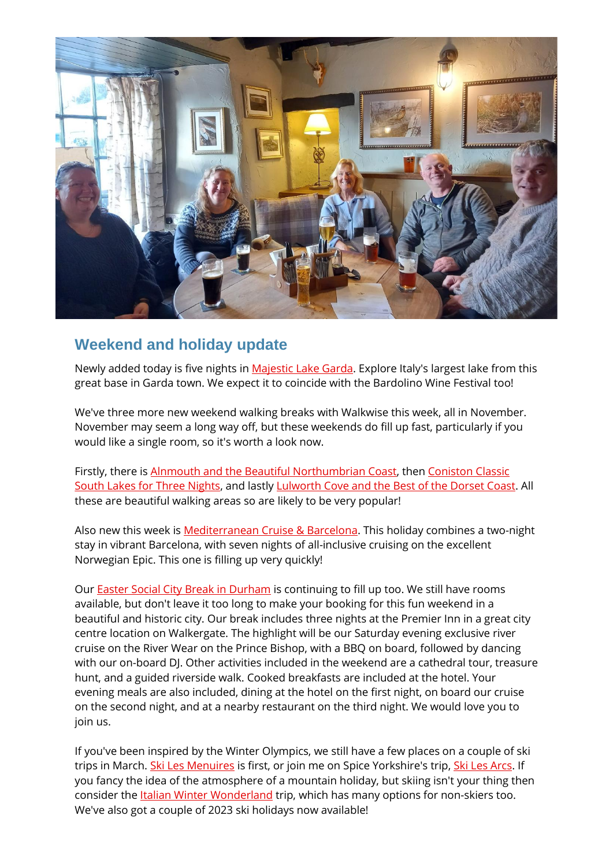

## **Weekend and holiday update**

Newly added today is five nights in [Majestic Lake Garda.](https://spiceuk.lt.acemlna.com/Prod/link-tracker?redirectUrl=aHR0cHMlM0ElMkYlMkZ3d3cuc3BpY2UtZXNjYXBlcy5jby51ayUyRmxpc3QtZXZlbnRzJTJGdmlldy1wYWNrYWdlJTJGJTNGaWQlM0RtYWplc3RpYy1sYWtlLWdhcmRh&sig=8oZYTDe82m2ubXjaBoxgttjEKGxVFEysooomUk9PWyJC&iat=1644515420&a=%7C%7C650344965%7C%7C&account=spiceuk%2Eactivehosted%2Ecom&email=1lNuJE%2BrfgC%2F8jRYTdcwIV8mo4ad0FCroTtAVDq%2FbzQ%3D&s=b900027c55ea3ffe9431fd4817f89468&i=279A291A4A7132) Explore Italy's largest lake from this great base in Garda town. We expect it to coincide with the Bardolino Wine Festival too!

We've three more new weekend walking breaks with Walkwise this week, all in November. November may seem a long way off, but these weekends do fill up fast, particularly if you would like a single room, so it's worth a look now.

Firstly, there is [Alnmouth and the Beautiful Northumbrian Coast,](https://spiceuk.lt.acemlna.com/Prod/link-tracker?redirectUrl=aHR0cHMlM0ElMkYlMkZ3d3cuc3BpY2V1ay5jb20lMkZldmVudHMtaG9saWRheXMlMkZ3YWxraW5nLXdlZWtlbmQtYWxubW91dGgtYW5kLXRoZS1iZWF1dGlmdWwtbm9ydGh1bWJyaWFuLWNvYXN0LTA0LW5vdi0yMg==&sig=6ZzthY4xFqBDSpPot3yEZxEPxTaYQszgRoA6j2Q1qWtr&iat=1644515420&a=%7C%7C650344965%7C%7C&account=spiceuk%2Eactivehosted%2Ecom&email=1lNuJE%2BrfgC%2F8jRYTdcwIV8mo4ad0FCroTtAVDq%2FbzQ%3D&s=b900027c55ea3ffe9431fd4817f89468&i=279A291A4A7133) then [Coniston Classic](https://spiceuk.lt.acemlna.com/Prod/link-tracker?redirectUrl=aHR0cHMlM0ElMkYlMkZ3d3cuc3BpY2V1ay5jb20lMkZldmVudHMtaG9saWRheXMlMkZ3YWxraW5nLXdlZWtlbmQtY29uaXN0b24tY2xhc3NpYy1zb3V0aC1sYWtlcy1mb3ItMy1uaWdodHM=&sig=2uLc4Ez8ohY8Xgz8niDE8ggZ1PqXLEJbfqgaZgLq7zVB&iat=1644515420&a=%7C%7C650344965%7C%7C&account=spiceuk%2Eactivehosted%2Ecom&email=1lNuJE%2BrfgC%2F8jRYTdcwIV8mo4ad0FCroTtAVDq%2FbzQ%3D&s=b900027c55ea3ffe9431fd4817f89468&i=279A291A4A7134)  [South Lakes for Three Nights,](https://spiceuk.lt.acemlna.com/Prod/link-tracker?redirectUrl=aHR0cHMlM0ElMkYlMkZ3d3cuc3BpY2V1ay5jb20lMkZldmVudHMtaG9saWRheXMlMkZ3YWxraW5nLXdlZWtlbmQtY29uaXN0b24tY2xhc3NpYy1zb3V0aC1sYWtlcy1mb3ItMy1uaWdodHM=&sig=2uLc4Ez8ohY8Xgz8niDE8ggZ1PqXLEJbfqgaZgLq7zVB&iat=1644515420&a=%7C%7C650344965%7C%7C&account=spiceuk%2Eactivehosted%2Ecom&email=1lNuJE%2BrfgC%2F8jRYTdcwIV8mo4ad0FCroTtAVDq%2FbzQ%3D&s=b900027c55ea3ffe9431fd4817f89468&i=279A291A4A7134) and lastl[y Lulworth Cove and the Best of the Dorset Coast.](https://spiceuk.lt.acemlna.com/Prod/link-tracker?redirectUrl=aHR0cHMlM0ElMkYlMkZ3d3cuc3BpY2V1ay5jb20lMkZldmVudHMtaG9saWRheXMlMkZ3YWxraW5nLXdlZWtlbmQtbHVsd29ydGgtY292ZS1hbmQtdGhlLWJlc3Qtb2YtdGhlLWRvcnNldC1jb2FzdC0yNS1ub3YtMjI=&sig=CxDF5CzSwu45mDTVtP8Ezq7tnC1x9UyXe7HHHbkN1XZT&iat=1644515420&a=%7C%7C650344965%7C%7C&account=spiceuk%2Eactivehosted%2Ecom&email=1lNuJE%2BrfgC%2F8jRYTdcwIV8mo4ad0FCroTtAVDq%2FbzQ%3D&s=b900027c55ea3ffe9431fd4817f89468&i=279A291A4A7135) All these are beautiful walking areas so are likely to be very popular!

Also new this week is [Mediterranean Cruise & Barcelona.](https://spiceuk.lt.acemlna.com/Prod/link-tracker?redirectUrl=aHR0cHMlM0ElMkYlMkZ3d3cuc3BpY2UtZXNjYXBlcy5jby51ayUyRmxpc3QtZXZlbnRzJTJGdmlldy1wYWNrYWdlJTJGJTNGaWQlM0RtZWRpdGVycmFuZWFuLWNydWlzZS0yLW5pZ2h0cy1iYXJjZWxvbmE=&sig=2eca1cYub5KsE1hN7uru3Pt8d96eoo9G6SR395kFvwaJ&iat=1644515420&a=%7C%7C650344965%7C%7C&account=spiceuk%2Eactivehosted%2Ecom&email=1lNuJE%2BrfgC%2F8jRYTdcwIV8mo4ad0FCroTtAVDq%2FbzQ%3D&s=b900027c55ea3ffe9431fd4817f89468&i=279A291A4A7136) This holiday combines a two-night stay in vibrant Barcelona, with seven nights of all-inclusive cruising on the excellent Norwegian Epic. This one is filling up very quickly!

Our [Easter Social City Break in Durham](https://spiceuk.lt.acemlna.com/Prod/link-tracker?redirectUrl=aHR0cHMlM0ElMkYlMkZ3d3cuc3BpY2V1ay5jb20lMkZldmVudHMtaG9saWRheXMlMkZlYXN0ZXItc29jaWFsLWNpdHktYnJlYWstd2Vla2VuZC1pbi1kdXJoYW0=&sig=8zjkHjGcnYkF1XbPZRq3F9FLMZVDFXq5gxG5cveDFXSB&iat=1644515420&a=%7C%7C650344965%7C%7C&account=spiceuk%2Eactivehosted%2Ecom&email=1lNuJE%2BrfgC%2F8jRYTdcwIV8mo4ad0FCroTtAVDq%2FbzQ%3D&s=b900027c55ea3ffe9431fd4817f89468&i=279A291A4A7106) is continuing to fill up too. We still have rooms available, but don't leave it too long to make your booking for this fun weekend in a beautiful and historic city. Our break includes three nights at the Premier Inn in a great city centre location on Walkergate. The highlight will be our Saturday evening exclusive river cruise on the River Wear on the Prince Bishop, with a BBQ on board, followed by dancing with our on-board DJ. Other activities included in the weekend are a cathedral tour, treasure hunt, and a guided riverside walk. Cooked breakfasts are included at the hotel. Your evening meals are also included, dining at the hotel on the first night, on board our cruise on the second night, and at a nearby restaurant on the third night. We would love you to join us.

If you've been inspired by the Winter Olympics, we still have a few places on a couple of ski trips in March. [Ski Les Menuires](https://spiceuk.lt.acemlna.com/Prod/link-tracker?redirectUrl=aHR0cHMlM0ElMkYlMkZ3d3cuc3BpY2UtZXNjYXBlcy5jby51ayUyRmxpc3QtZXZlbnRzJTJGdmlldy1wYWNrYWdlJTJGJTNGaWQlM0Rza2ktbGVzLW1lbnVpcmVz&sig=9Mp9R4QgNfquV8CcepnS2bG4mvrMbGKzo3GEUUbnMcG2&iat=1644515420&a=%7C%7C650344965%7C%7C&account=spiceuk%2Eactivehosted%2Ecom&email=1lNuJE%2BrfgC%2F8jRYTdcwIV8mo4ad0FCroTtAVDq%2FbzQ%3D&s=b900027c55ea3ffe9431fd4817f89468&i=279A291A4A7107) is first, or join me on Spice Yorkshire's trip[, Ski Les Arcs.](https://spiceuk.lt.acemlna.com/Prod/link-tracker?redirectUrl=aHR0cHMlM0ElMkYlMkZ3d3cuc3BpY2UtZXNjYXBlcy5jby51ayUyRmxpc3QtZXZlbnRzJTJGdmlldy1wYWNrYWdlJTJGJTNGaWQlM0Rza2ktbGVzLWFyY3Mtd2l0aC1zcGljZS15b3Jrc2hpcmU=&sig=4HMQTxqPF9hVkJbDmxVFpSxaNFjZZvLYMbL2tnUqzyJz&iat=1644515420&a=%7C%7C650344965%7C%7C&account=spiceuk%2Eactivehosted%2Ecom&email=1lNuJE%2BrfgC%2F8jRYTdcwIV8mo4ad0FCroTtAVDq%2FbzQ%3D&s=b900027c55ea3ffe9431fd4817f89468&i=279A291A4A7108) If you fancy the idea of the atmosphere of a mountain holiday, but skiing isn't your thing then consider the *Italian Winter Wonderland* trip, which has many options for non-skiers too. We've also got a couple of 2023 ski holidays now available!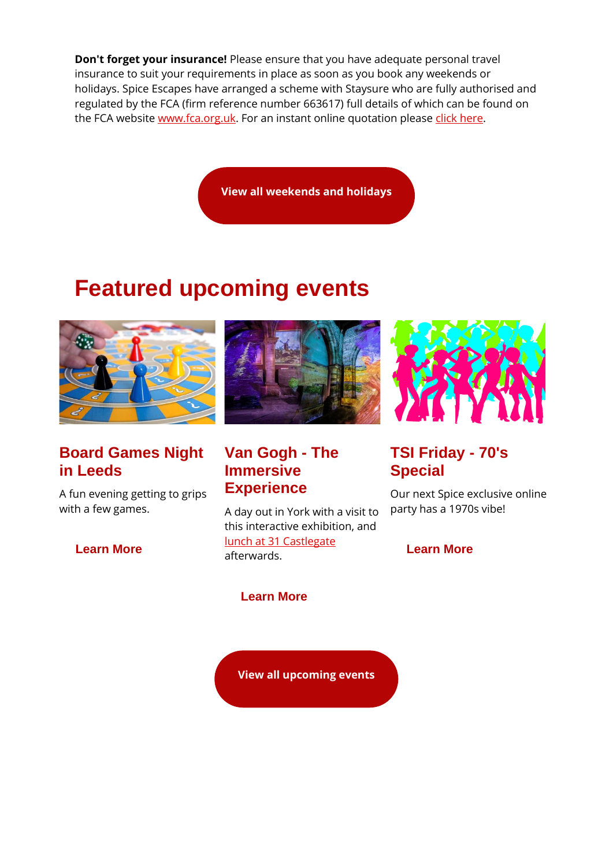**Don't forget your insurance!** Please ensure that you have adequate personal travel insurance to suit your requirements in place as soon as you book any weekends or holidays. Spice Escapes have arranged a scheme with Staysure who are fully authorised and regulated by the FCA (firm reference number 663617) full details of which can be found on the FCA website [www.fca.org.uk.](https://spiceuk.lt.acemlna.com/Prod/link-tracker?redirectUrl=aHR0cCUzQSUyRiUyRnd3dy5mY2Eub3JnLnVr&sig=BqsLyrh8HTKZNnf61XtX7vPp17CmiuP5Pqr724PyZkrW&iat=1644515420&a=%7C%7C650344965%7C%7C&account=spiceuk%2Eactivehosted%2Ecom&email=1lNuJE%2BrfgC%2F8jRYTdcwIV8mo4ad0FCroTtAVDq%2FbzQ%3D&s=b900027c55ea3ffe9431fd4817f89468&i=279A291A4A7137) For an instant online quotation please [click here.](https://spiceuk.lt.acemlna.com/Prod/link-tracker?redirectUrl=aHR0cHMlM0ElMkYlMkZwcmYuaG4lMkZjbGljayUyRmNhbXJlZiUzQTExMDFsa1FzTg==&sig=7Z7jiB6FptijGthwpotUGQ4HBp8VFVEyNa9ZMZEfBnP7&iat=1644515420&a=%7C%7C650344965%7C%7C&account=spiceuk%2Eactivehosted%2Ecom&email=1lNuJE%2BrfgC%2F8jRYTdcwIV8mo4ad0FCroTtAVDq%2FbzQ%3D&s=b900027c55ea3ffe9431fd4817f89468&i=279A291A4A7138)

**[View all weekends and holidays](https://spiceuk.lt.acemlna.com/Prod/link-tracker?redirectUrl=aHR0cHMlM0ElMkYlMkZ3d3cuc3BpY2V1ay5jb20lMkZldmVudHMtaG9saWRheXMlM0Zvd25lciUzREFsbCUyNm1hc3RlckNhdGVnb3J5JTNESG9saWRheXMlMjZtYXN0ZXJDYXRlZ29yeSUzRFdlZWtlbmRzJTI1MjBBd2F5&sig=AyQzh77hxUQbLRexQgXHi9jqcXbUNs8nGAr73f2L5kjT&iat=1644515420&a=%7C%7C650344965%7C%7C&account=spiceuk%2Eactivehosted%2Ecom&email=1lNuJE%2BrfgC%2F8jRYTdcwIV8mo4ad0FCroTtAVDq%2FbzQ%3D&s=b900027c55ea3ffe9431fd4817f89468&i=279A291A4A7103)**

## **Featured upcoming events**



## **Board Games Night in Leeds**

A fun evening getting to grips with a few games.

**[Learn More](https://spiceuk.lt.acemlna.com/Prod/link-tracker?redirectUrl=aHR0cHMlM0ElMkYlMkZ3d3cuc3BpY2V1ay5jb20lMkZldmVudHMtaG9saWRheXMlMkZib2FyZC1nYW1lcy1uaWdodC1pbi1sZWVkcy0yMy1mZWItMjI=&sig=4PWYe9HQv34kzEmHr2ShAvvAQCd6CpX9o1Dandyc4jV3&iat=1644515420&a=%7C%7C650344965%7C%7C&account=spiceuk%2Eactivehosted%2Ecom&email=1lNuJE%2BrfgC%2F8jRYTdcwIV8mo4ad0FCroTtAVDq%2FbzQ%3D&s=b900027c55ea3ffe9431fd4817f89468&i=279A291A4A7139)**



## **Van Gogh - The Immersive Experience**

A day out in York with a visit to this interactive exhibition, and [lunch at 31 Castlegate](https://spiceuk.lt.acemlna.com/Prod/link-tracker?redirectUrl=aHR0cHMlM0ElMkYlMkZ3d3cuc3BpY2V1ay5jb20lMkZldmVudHMtaG9saWRheXMlMkZzdW5kYXktbHVuY2gtYXQtMzEtY2FzdGxlZ2F0ZS15b3JrLTIwLWZlYi0yMg==&sig=2BscDviJcZDsTeHSkBGo3XWbUEFQRaEfdJE8DaBJbhjs&iat=1644515420&a=%7C%7C650344965%7C%7C&account=spiceuk%2Eactivehosted%2Ecom&email=1lNuJE%2BrfgC%2F8jRYTdcwIV8mo4ad0FCroTtAVDq%2FbzQ%3D&s=b900027c55ea3ffe9431fd4817f89468&i=279A291A4A7141) afterwards.

### **[Learn More](https://spiceuk.lt.acemlna.com/Prod/link-tracker?redirectUrl=aHR0cHMlM0ElMkYlMkZ3d3cuc3BpY2V1ay5jb20lMkZldmVudHMtaG9saWRheXMlMkZ2YW4tZ29naC10aGUtaW1tZXJzaXZlLWV4cGVyaWVuY2UteW9yaw==&sig=GzVfYDibKgZTJKav6pHe8Qa77YuVjiZpEmUqdX3cXnjQ&iat=1644515420&a=%7C%7C650344965%7C%7C&account=spiceuk%2Eactivehosted%2Ecom&email=1lNuJE%2BrfgC%2F8jRYTdcwIV8mo4ad0FCroTtAVDq%2FbzQ%3D&s=b900027c55ea3ffe9431fd4817f89468&i=279A291A4A7140)**

**[View all upcoming events](https://spiceuk.lt.acemlna.com/Prod/link-tracker?redirectUrl=aHR0cHMlM0ElMkYlMkZ3d3cuc3BpY2V1ay5jb20lMkZldmVudHMtaG9saWRheXMlM0ZtYXN0ZXJDYXRlZ29yeSUzREFsbCUyNmNhdGVnb3J5JTNEQWxsJTI2b3duZXIlM0RBbGw=&sig=5gfmSFz8vZWYrdFdyQyhhk3Lbm1XiYy8HoeFBFQ1KxBo&iat=1644515420&a=%7C%7C650344965%7C%7C&account=spiceuk%2Eactivehosted%2Ecom&email=1lNuJE%2BrfgC%2F8jRYTdcwIV8mo4ad0FCroTtAVDq%2FbzQ%3D&s=b900027c55ea3ffe9431fd4817f89468&i=279A291A4A7092)**



## **TSI Friday - 70's Special**

Our next Spice exclusive online party has a 1970s vibe!

**[Learn More](https://spiceuk.lt.acemlna.com/Prod/link-tracker?redirectUrl=aHR0cHMlM0ElMkYlMkZ3d3cuc3BpY2V1ay5jb20lMkZldmVudHMtaG9saWRheXMlMkZzcGljZS1leGNsdXNpdmUtdHNpLWZyaWRheS03MHMtc3BlY2lhbA==&sig=FWf2Ly3ZMfuwE56qtumM4N3Kji1QcnmNg8M3JG1fugay&iat=1644515420&a=%7C%7C650344965%7C%7C&account=spiceuk%2Eactivehosted%2Ecom&email=1lNuJE%2BrfgC%2F8jRYTdcwIV8mo4ad0FCroTtAVDq%2FbzQ%3D&s=b900027c55ea3ffe9431fd4817f89468&i=279A291A4A7142)**